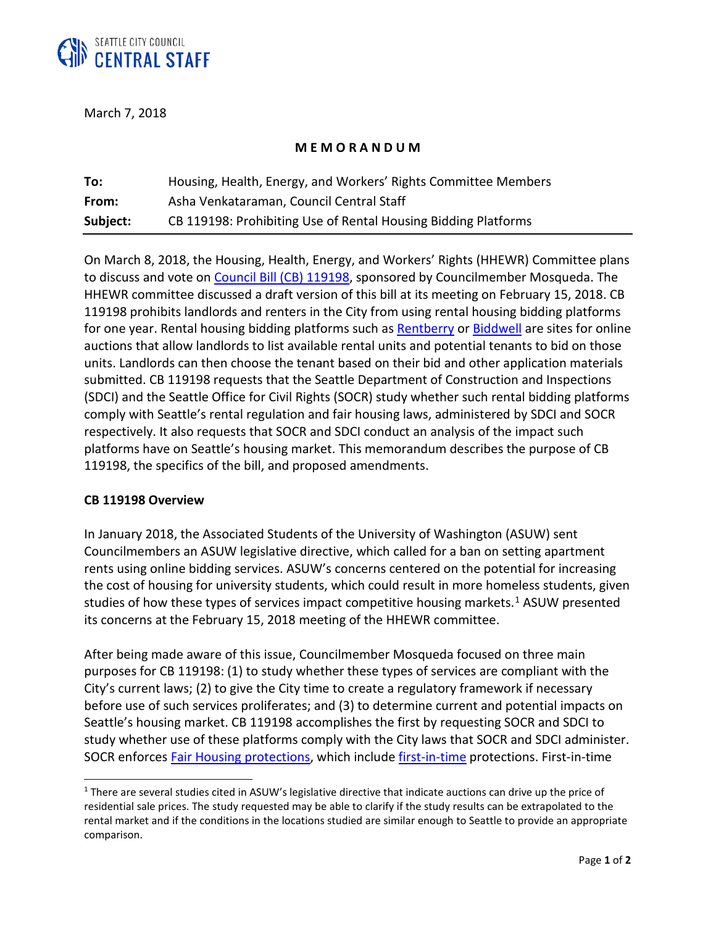

March 7, 2018

## **M E M O R A N D U M**

| To:      | Housing, Health, Energy, and Workers' Rights Committee Members |
|----------|----------------------------------------------------------------|
| From:    | Asha Venkataraman, Council Central Staff                       |
| Subject: | CB 119198: Prohibiting Use of Rental Housing Bidding Platforms |

On March 8, 2018, the Housing, Health, Energy, and Workers' Rights (HHEWR) Committee plans to discuss and vote on [Council Bill \(CB\) 119198,](https://seattle.legistar.com/ViewReport.ashx?M=R&N=Text&GID=393&ID=3025594&GUID=2717929B-8C38-4F02-80F0-905B34FF1203&Title=Legislation+Text) sponsored by Councilmember Mosqueda. The HHEWR committee discussed a draft version of this bill at its meeting on February 15, 2018. CB 119198 prohibits landlords and renters in the City from using rental housing bidding platforms for one year. Rental housing bidding platforms such as [Rentberry](https://rentberry.com/) or [Biddwell](https://www.biddwell.com/) are sites for online auctions that allow landlords to list available rental units and potential tenants to bid on those units. Landlords can then choose the tenant based on their bid and other application materials submitted. CB 119198 requests that the Seattle Department of Construction and Inspections (SDCI) and the Seattle Office for Civil Rights (SOCR) study whether such rental bidding platforms comply with Seattle's rental regulation and fair housing laws, administered by SDCI and SOCR respectively. It also requests that SOCR and SDCI conduct an analysis of the impact such platforms have on Seattle's housing market. This memorandum describes the purpose of CB 119198, the specifics of the bill, and proposed amendments.

### **CB 119198 Overview**

 $\overline{a}$ 

In January 2018, the Associated Students of the University of Washington (ASUW) sent Councilmembers an ASUW legislative directive, which called for a ban on setting apartment rents using online bidding services. ASUW's concerns centered on the potential for increasing the cost of housing for university students, which could result in more homeless students, given studies of how these types of services impact competitive housing markets.<sup>[1](#page-0-0)</sup> ASUW presented its concerns at the February 15, 2018 meeting of the HHEWR committee.

After being made aware of this issue, Councilmember Mosqueda focused on three main purposes for CB 119198: (1) to study whether these types of services are compliant with the City's current laws; (2) to give the City time to create a regulatory framework if necessary before use of such services proliferates; and (3) to determine current and potential impacts on Seattle's housing market. CB 119198 accomplishes the first by requesting SOCR and SDCI to study whether use of these platforms comply with the City laws that SOCR and SDCI administer. SOCR enforces [Fair Housing protections,](https://library.municode.com/wa/seattle/codes/municipal_code?nodeId=TIT14HURI_CH14.08UNHOPR) which includ[e first-in-time](https://library.municode.com/wa/seattle/codes/municipal_code?nodeId=TIT14HURI_CH14.08UNHOPR_14.08.050FI-T) protections. First-in-time

<span id="page-0-0"></span><sup>&</sup>lt;sup>1</sup> There are several studies cited in ASUW's legislative directive that indicate auctions can drive up the price of residential sale prices. The study requested may be able to clarify if the study results can be extrapolated to the rental market and if the conditions in the locations studied are similar enough to Seattle to provide an appropriate comparison.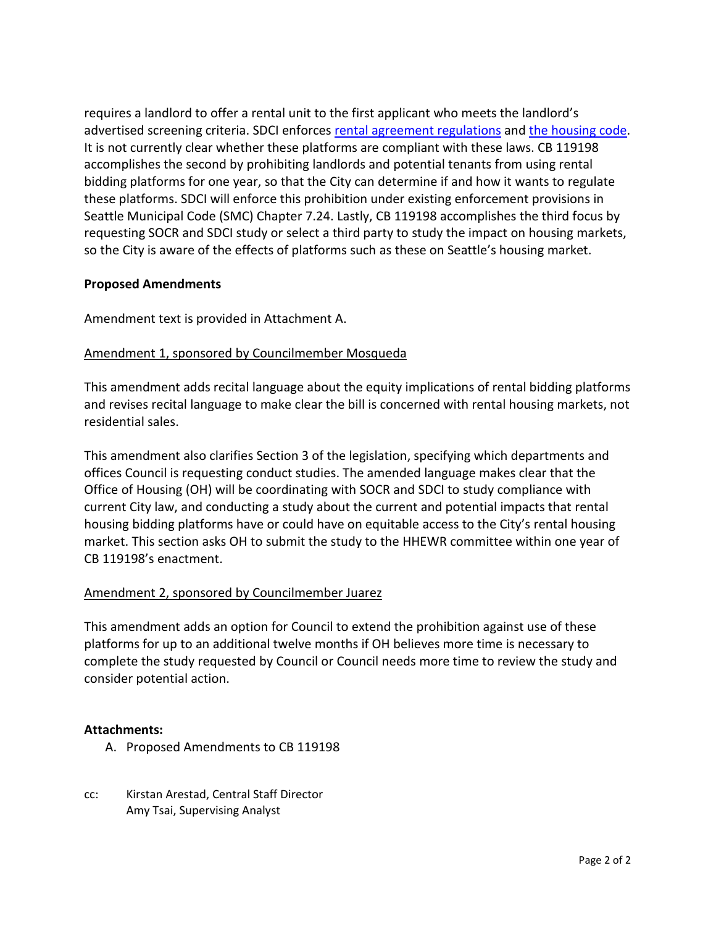requires a landlord to offer a rental unit to the first applicant who meets the landlord's advertised screening criteria. SDCI enforces [rental agreement regulations](https://library.municode.com/wa/seattle/codes/municipal_code?nodeId=TIT7COPR_CH7.24REAGRE) and [the housing code.](https://library.municode.com/wa/seattle/codes/municipal_code?nodeId=TIT22BUCOCO_SUBTITLE_IIHOCO) It is not currently clear whether these platforms are compliant with these laws. CB 119198 accomplishes the second by prohibiting landlords and potential tenants from using rental bidding platforms for one year, so that the City can determine if and how it wants to regulate these platforms. SDCI will enforce this prohibition under existing enforcement provisions in Seattle Municipal Code (SMC) Chapter 7.24. Lastly, CB 119198 accomplishes the third focus by requesting SOCR and SDCI study or select a third party to study the impact on housing markets, so the City is aware of the effects of platforms such as these on Seattle's housing market.

# **Proposed Amendments**

Amendment text is provided in Attachment A.

## Amendment 1, sponsored by Councilmember Mosqueda

This amendment adds recital language about the equity implications of rental bidding platforms and revises recital language to make clear the bill is concerned with rental housing markets, not residential sales.

This amendment also clarifies Section 3 of the legislation, specifying which departments and offices Council is requesting conduct studies. The amended language makes clear that the Office of Housing (OH) will be coordinating with SOCR and SDCI to study compliance with current City law, and conducting a study about the current and potential impacts that rental housing bidding platforms have or could have on equitable access to the City's rental housing market. This section asks OH to submit the study to the HHEWR committee within one year of CB 119198's enactment.

### Amendment 2, sponsored by Councilmember Juarez

This amendment adds an option for Council to extend the prohibition against use of these platforms for up to an additional twelve months if OH believes more time is necessary to complete the study requested by Council or Council needs more time to review the study and consider potential action.

### **Attachments:**

- A. Proposed Amendments to CB 119198
- cc: Kirstan Arestad, Central Staff Director Amy Tsai, Supervising Analyst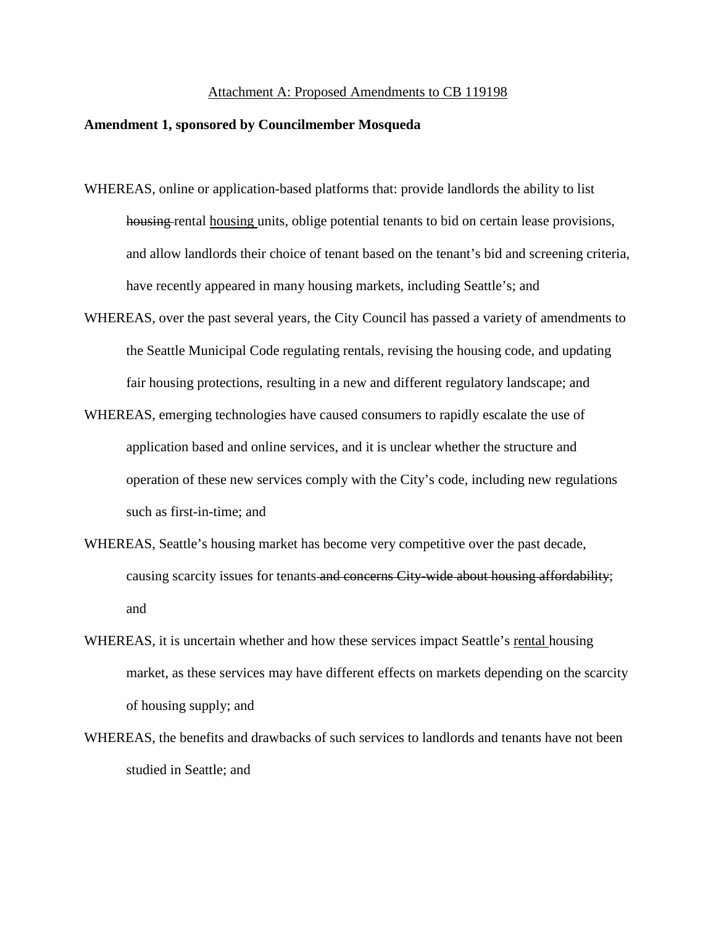#### Attachment A: Proposed Amendments to CB 119198

#### **Amendment 1, sponsored by Councilmember Mosqueda**

- WHEREAS, online or application-based platforms that: provide landlords the ability to list housing rental housing units, oblige potential tenants to bid on certain lease provisions, and allow landlords their choice of tenant based on the tenant's bid and screening criteria, have recently appeared in many housing markets, including Seattle's; and
- WHEREAS, over the past several years, the City Council has passed a variety of amendments to the Seattle Municipal Code regulating rentals, revising the housing code, and updating fair housing protections, resulting in a new and different regulatory landscape; and
- WHEREAS, emerging technologies have caused consumers to rapidly escalate the use of application based and online services, and it is unclear whether the structure and operation of these new services comply with the City's code, including new regulations such as first-in-time; and
- WHEREAS, Seattle's housing market has become very competitive over the past decade, causing scarcity issues for tenants and concerns City-wide about housing affordability; and
- WHEREAS, it is uncertain whether and how these services impact Seattle's rental housing market, as these services may have different effects on markets depending on the scarcity of housing supply; and
- WHEREAS, the benefits and drawbacks of such services to landlords and tenants have not been studied in Seattle; and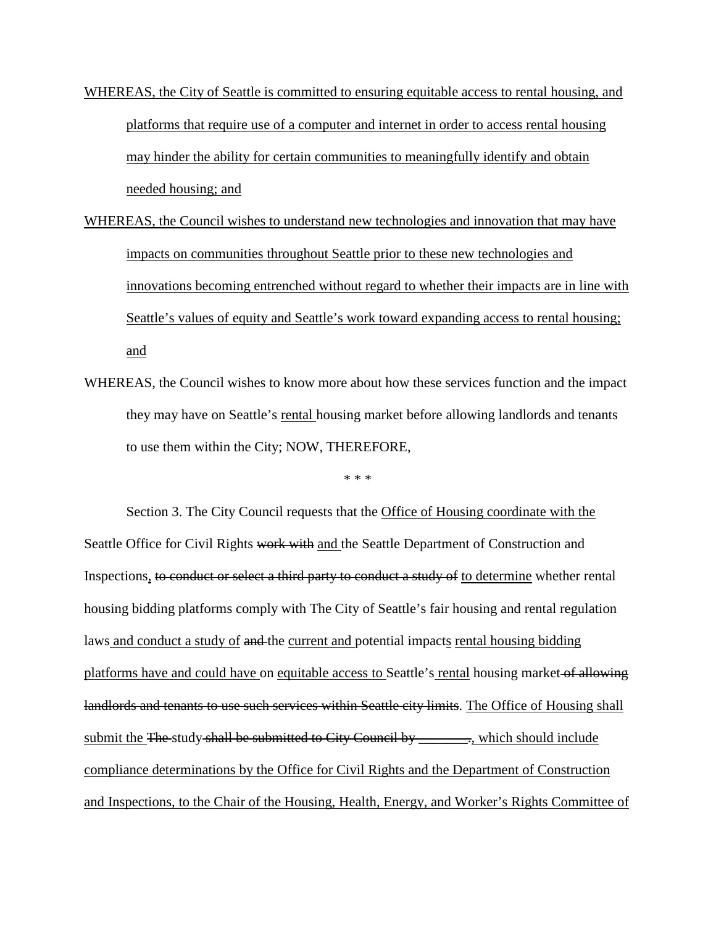- WHEREAS, the City of Seattle is committed to ensuring equitable access to rental housing, and platforms that require use of a computer and internet in order to access rental housing may hinder the ability for certain communities to meaningfully identify and obtain needed housing; and
- WHEREAS, the Council wishes to understand new technologies and innovation that may have impacts on communities throughout Seattle prior to these new technologies and innovations becoming entrenched without regard to whether their impacts are in line with Seattle's values of equity and Seattle's work toward expanding access to rental housing; and
- WHEREAS, the Council wishes to know more about how these services function and the impact they may have on Seattle's rental housing market before allowing landlords and tenants to use them within the City; NOW, THEREFORE,

\* \* \*

Section 3. The City Council requests that the Office of Housing coordinate with the Seattle Office for Civil Rights work with and the Seattle Department of Construction and Inspections, to conduct or select a third party to conduct a study of to determine whether rental housing bidding platforms comply with The City of Seattle's fair housing and rental regulation laws and conduct a study of and the current and potential impacts rental housing bidding platforms have and could have on equitable access to Seattle's rental housing market of allowing land lords and tenants to use such services within Seattle city limits. The Office of Housing shall submit the The study shall be submitted to City Council by \_\_\_\_\_\_\_\_\_\_\_, which should include compliance determinations by the Office for Civil Rights and the Department of Construction and Inspections, to the Chair of the Housing, Health, Energy, and Worker's Rights Committee of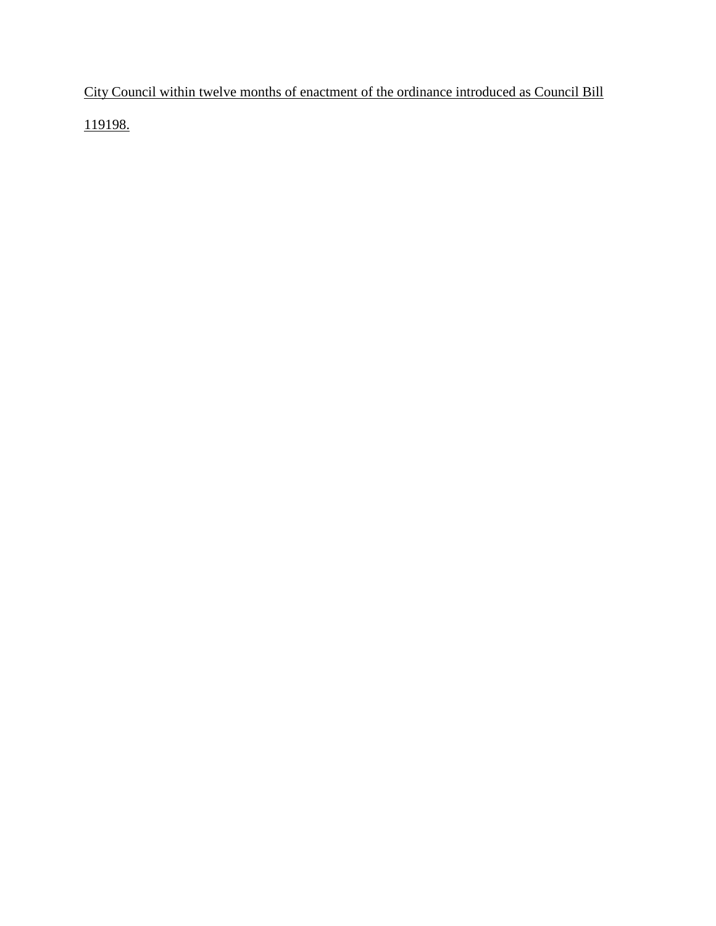City Council within twelve months of enactment of the ordinance introduced as Council Bill

119198.